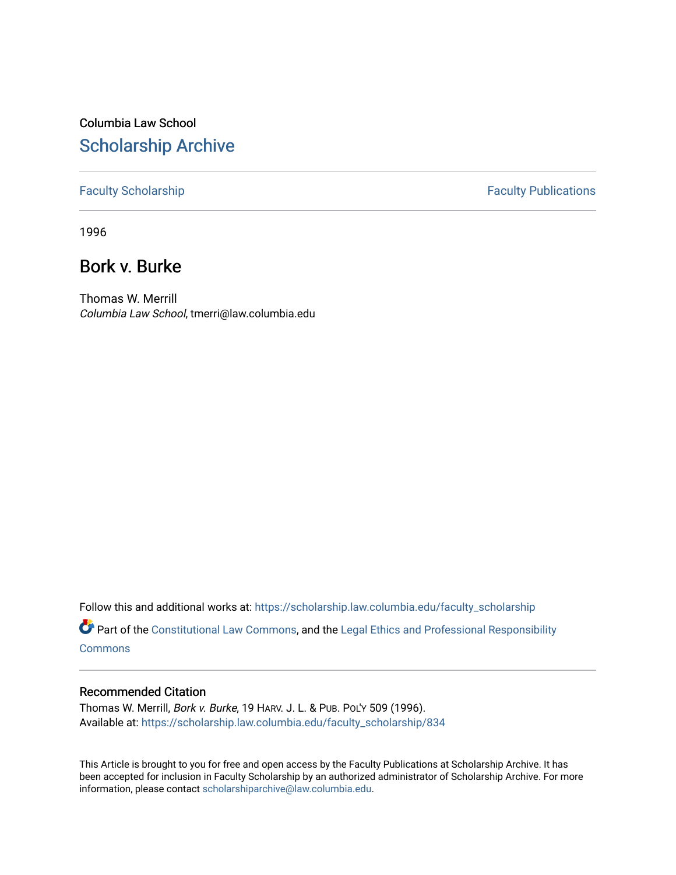# Columbia Law School [Scholarship Archive](https://scholarship.law.columbia.edu/)

## [Faculty Scholarship](https://scholarship.law.columbia.edu/faculty_scholarship) **Faculty Scholarship** Faculty Publications

1996

# Bork v. Burke

Thomas W. Merrill Columbia Law School, tmerri@law.columbia.edu

Follow this and additional works at: [https://scholarship.law.columbia.edu/faculty\\_scholarship](https://scholarship.law.columbia.edu/faculty_scholarship?utm_source=scholarship.law.columbia.edu%2Ffaculty_scholarship%2F834&utm_medium=PDF&utm_campaign=PDFCoverPages)

Part of the [Constitutional Law Commons,](http://network.bepress.com/hgg/discipline/589?utm_source=scholarship.law.columbia.edu%2Ffaculty_scholarship%2F834&utm_medium=PDF&utm_campaign=PDFCoverPages) and the [Legal Ethics and Professional Responsibility](http://network.bepress.com/hgg/discipline/895?utm_source=scholarship.law.columbia.edu%2Ffaculty_scholarship%2F834&utm_medium=PDF&utm_campaign=PDFCoverPages) **[Commons](http://network.bepress.com/hgg/discipline/895?utm_source=scholarship.law.columbia.edu%2Ffaculty_scholarship%2F834&utm_medium=PDF&utm_campaign=PDFCoverPages)** 

### Recommended Citation

Thomas W. Merrill, Bork v. Burke, 19 HARV. J. L. & PUB. POL'Y 509 (1996). Available at: [https://scholarship.law.columbia.edu/faculty\\_scholarship/834](https://scholarship.law.columbia.edu/faculty_scholarship/834?utm_source=scholarship.law.columbia.edu%2Ffaculty_scholarship%2F834&utm_medium=PDF&utm_campaign=PDFCoverPages) 

This Article is brought to you for free and open access by the Faculty Publications at Scholarship Archive. It has been accepted for inclusion in Faculty Scholarship by an authorized administrator of Scholarship Archive. For more information, please contact [scholarshiparchive@law.columbia.edu.](mailto:scholarshiparchive@law.columbia.edu)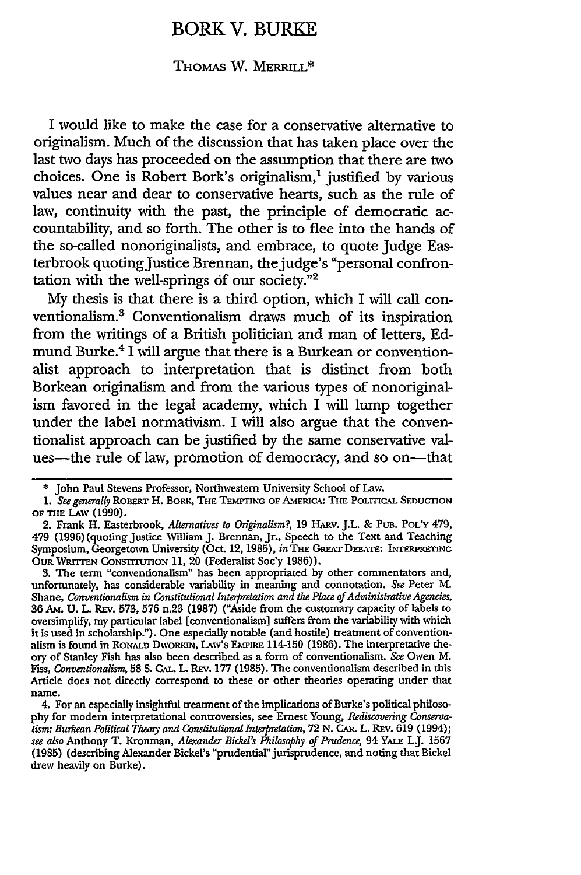## BORK V. BURKE

#### THOMAS W. MERRILL\*

I would like to make the case for a conservative alternative to originalism. Much of the discussion that has taken place over the last two days has proceeded on the assumption that there are two choices. One is Robert Bork's originalism,<sup>1</sup> justified by various values near and dear to conservative hearts, such as the rule of law, continuity with the past, the principle of democratic accountability, and so forth. The other is to flee into the hands of the so-called nonoriginalists, and embrace, to quote Judge Easterbrook quoting Justice Brennan, the judge's "personal confrontation with the well-springs **6f** our society."2

My thesis is that there is a third option, which I will call conventionalism.<sup>3</sup> Conventionalism draws much of its inspiration from the writings of a British politician and man of letters, Edmund Burke.4 **I** will argue that there is a Burkean or conventionalist approach to interpretation that is distinct from both Borkean originalism and from the various types of nonoriginalism favored in the legal academy, which I will lump together under the label normativism. I will also argue that the conventionalist approach can be justified by the same conservative values-the rule of law, promotion of democracy, and so on-that

**3.** The term "conventionalism" has been appropriated by other commentators and, unfortunately, has considerable variability in meaning and connotation. *See* Peter M. Shane, *Conventionalism in Constitutional Interpretation and the Place of Administrative Agencies,* **36** AM. **U.** L. Rrv. 573, 576 n.23 (1987) ("Aside from the customary capacity of labels to oversimplify, my particular label [conventionalism] suffers from the variability with which it is used in scholarship."). One especially notable (and hostile) treatment of conventionalism is found in RONALD DWORKIN, LAW's EMPIRE 114-150 (1986). The interpretative the**ory** of Stanley Fish has also been described as a form of conventionalism. *See* Owen M. *Fiss, Conventionalism,* **58S. CAL.** L. REv. 177 (1985). The conventionalism described in this Article does not directly correspond to these or other theories operating under that name.

4. For an especially insightful treatment of the implications of Burke's political philosophy for modern interpretational controversies, see Ernest Young, *Rediscovering Conservatism: Burkean Political Theory and Constitutional Interpretation,* 72 **N.** CAR. L. REv. **619** (1994); *see also* Anthony T. Kronman, *Alexander Bickel's Philosophy of Pudence,* 94 YAiE LJ. 1567 (1985) (describing Alexander Bickel's "prudential"jurisprudence, and noting that Bickel drew heavily **on** Burke).

**<sup>\*</sup>** John Paul Stevens Professor, Northwestern University School of Law.

<sup>1.</sup> See generally ROBERT H. BORK, THE TEMPTING OF AMERICA: THE POLITICAL SEDUCTION **OF THE LAW (1990).**

<sup>2.</sup> Frank H. Easterbrook, *Alternatives to Originalism?,* 19 HAuv. J.L. & **PUB. POL'Y** 479, 479 (1996) (quoting Justice William J. Brennan, Jr., Speech to the Text and Teaching Symposium, Georgetown University (Oct. 12, 1985), *in TnE* **GREAT** DEBATE: **INTERPRETING** OuR WRrrrEN CONsTrruTION 11, 20 (Federalist Soc'y 1986)).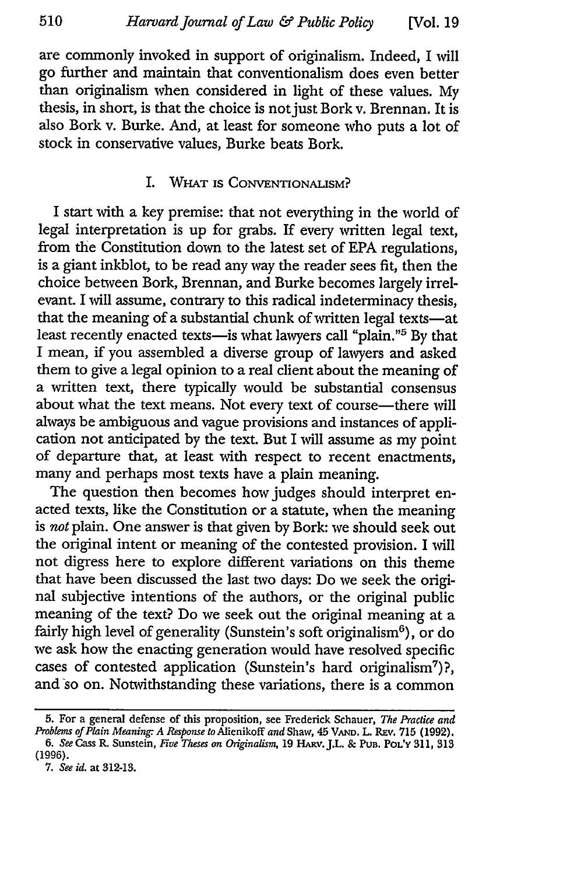are commonly invoked in support of originalism. Indeed, I will go further and maintain that conventionalism does even better than originalism when considered in light of these values. My thesis, in short, is that the choice is not just Bork v. Brennan. It is also Bork v. Burke. And, at least for someone who puts a lot of stock in conservative values, Burke beats Bork.

#### I. WHAT IS CONVENTIONALISM?

I start with a key premise: that not everything in the world of legal interpretation is up for grabs. If every written legal text, from the Constitution down to the latest set of EPA regulations, is a giant inkblot, to be read any way the reader sees fit, then the choice between Bork, Brennan, and Burke becomes largely irrelevant. I will assume, contrary to this radical indeterminacy thesis, that the meaning of a substantial chunk of written legal texts-at least recently enacted texts-is what lawyers call "plain."<sup>5</sup> By that I mean, if you assembled a diverse group of lawyers and asked them to give a legal opinion to a real client about the meaning of a written text, there typically would be substantial consensus about what the text means. Not every text of course-there will always be ambiguous and vague provisions and instances of application not anticipated by the text. But I will assume as my point of departure that, at least with respect to recent enactments, many and perhaps most texts have a plain meaning.

The question then becomes how judges should interpret enacted texts, like the Constitution or a statute, when the meaning is *not* plain. One answer is that given by Bork: we should seek out the original intent or meaning of the contested provision. I will not digress here to explore different variations on this theme that have been discussed the last two days: Do we seek the original subjective intentions of the authors, or the original public meaning of the text? Do we seek out the original meaning at a fairly high level of generality (Sunstein's soft originalism $<sup>6</sup>$ ), or do</sup> we ask how the enacting generation would have resolved specific cases of contested application (Sunstein's hard originalism<sup>7</sup>)?, and so on. Notwithstanding these variations, there is a common

**<sup>5.</sup>** For a general defense of this proposition, see Frederick Schauer, *The Practice and Problems of Plain Meaning. A Response to* Alienikoff *and* Shaw, 45 VAm. L. Rav. **715** (1992).

*<sup>6.</sup> See* Cass R. Sunstein, *Five Theses on Onginalism,* 19 HARv.J.L. & **PUB.** POL'Y 311, **313 (1996).**

**<sup>7.</sup>** *See id.* at 312-13.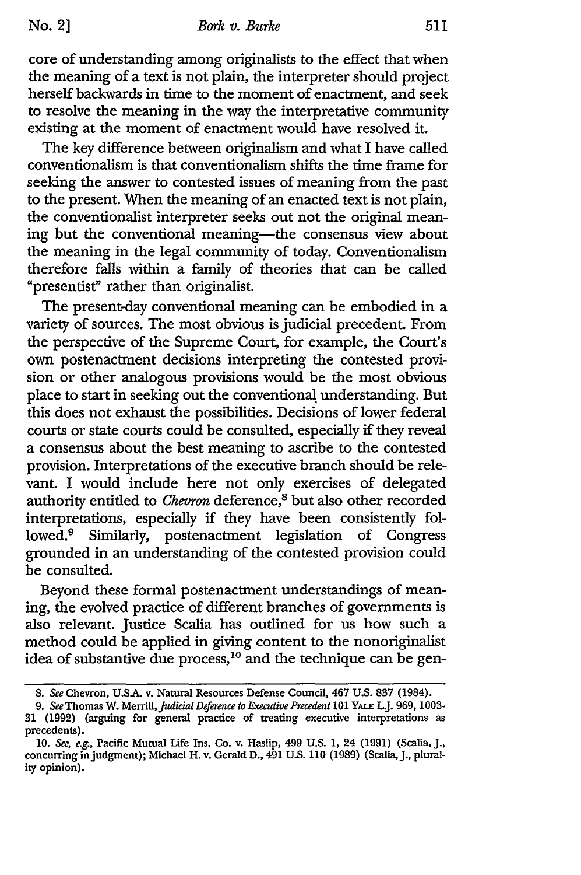core of understanding among originalists to the effect that when the meaning of a text is not plain, the interpreter should project herself backwards in time to the moment of enactment, and seek to resolve the meaning in the way the interpretative community existing at the moment of enactment would have resolved it.

The key difference between originalism and what I have called conventionalism is that conventionalism shifts the time frame for seeking the answer to contested issues of meaning from the past to the present. When the meaning of an enacted text is not plain, the conventionalist interpreter seeks out not the original meaning but the conventional meaning-the consensus view about the meaning in the legal community of today. Conventionalism therefore falls within a family of theories that can be called "presentist" rather than originalist.

The present-day conventional meaning can be embodied in a variety of sources. The most obvious is judicial precedent. From the perspective of the Supreme Court, for example, the Court's own postenactment decisions interpreting the contested provision or other analogous provisions would be the most obvious place to start in seeking out the conventional understanding. But this does not exhaust the possibilities. Decisions of lower federal courts or state courts could be consulted, especially if they reveal a consensus about the best meaning to ascribe to the contested provision. Interpretations of the executive branch should be relevant. I would include here not only exercises of delegated authority entitled to *Chevron* deference,<sup>8</sup> but also other recorded interpretations, especially if they have been consistently followed.9 Similarly, postenactment legislation of Congress grounded in an understanding of the contested provision could be consulted.

Beyond these formal postenactment understandings of meaning, the evolved practice of different branches of governments is also relevant. Justice Scalia has outlined for us how such a method could be applied in giving content to the nonoriginalist idea of substantive due process,<sup>10</sup> and the technique can be gen-

<sup>8.</sup> See Chevron, U.SA v. Natural Resources Defense Council, 467 U.S. 837 (1984).

<sup>9.</sup> *See* Thomas W. *Merrill,JudidaDeferene to Executive Precedent 101* YALE LJ. 969, **1003-** 31 (1992) (arguing for general practice of treating executive interpretations as precedents).

**<sup>10.</sup>** See, e.g., Pacific Mutual Life Ins. **Co.** v. Haslip, 499 **U.S. 1,** 24 **(1991)** (Scalia, **J.,** concurring in judgment); Michael H. v. Gerald D., 491 U.S. 110 (1989) (Scalia, J., plurality opinion).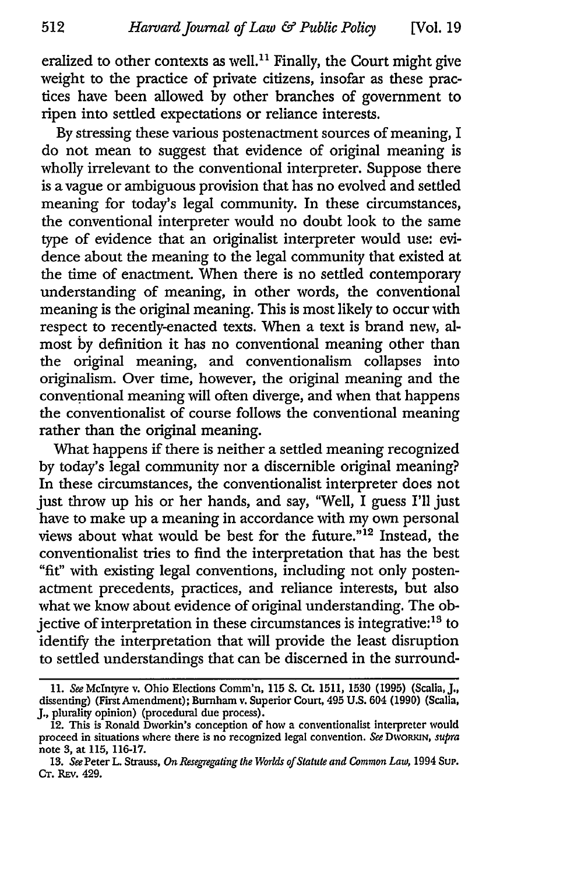eralized to other contexts as well.<sup>11</sup> Finally, the Court might give weight to the practice of private citizens, insofar as these practices have been allowed by other branches of government to ripen into settled expectations or reliance interests.

By stressing these various postenactment sources of meaning, I do not mean to suggest that evidence of original meaning is wholly irrelevant to the conventional interpreter. Suppose there is a vague or ambiguous provision that has no evolved and settled meaning for today's legal community. In these circumstances, the conventional interpreter would no doubt look to the same type of evidence that an originalist interpreter would use: evidence about the meaning to the legal community that existed at the time of enactment. When there is no settled contemporary understanding of meaning, in other words, the conventional meaning is the original meaning. This is most likely to occur with respect to recently-enacted texts. When a text is brand new, almost by definition it has no conventional meaning other than the original meaning, and conventionalism collapses into originalism. Over time, however, the original meaning and the conventional meaning will often diverge, and when that happens the conventionalist of course follows the conventional meaning rather than the original meaning.

What happens if there is neither a settled meaning recognized by today's legal community nor a discernible original meaning? In these circumstances, the conventionalist interpreter does not just throw up his or her hands, and say, "Well, I guess I'll just have to make up a meaning in accordance with my own personal views about what would be best for the future."'12 Instead, the conventionalist tries to find the interpretation that has the best "fit" with existing legal conventions, including not only postenactment precedents, practices, and reliance interests, but also what we know about evidence of original understanding. The objective of interpretation in these circumstances is integrative:<sup>13</sup> to identify the interpretation that will provide the least disruption to settled understandings that can be discerned in the surround-

<sup>11.</sup> *See* McIntyre v. Ohio Elections Comm'n, 115 **S.** Ct. 1511, 1530 (1995) (Scalia, **J.,** dissenting) (First Amendment); Burnham v. Superior Court, 495 U.S. 604 (1990) (Scalia, J., plurality opinion) (procedural due process).

<sup>12.</sup> This is Ronald Dworkin's conception of how a conventionalist interpreter would proceed in situations where there is no recognized legal convention. See DWORKIN, *supra* note 3, at 115, 116-17.

<sup>13.</sup> *See* Peter L. Strauss, *On Resegregating the Worlds of Statute and Common Law,* 1994 Sup. **Cr.** REv. 429.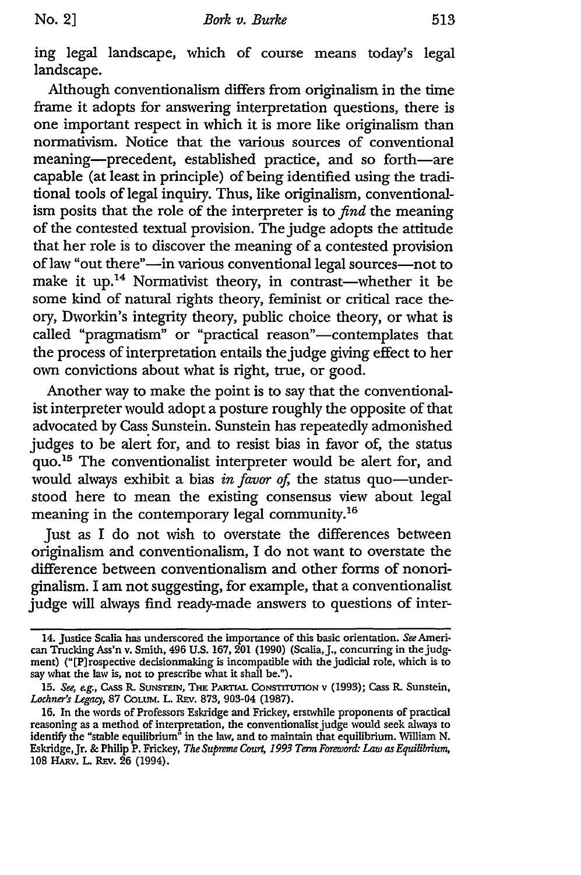ing legal landscape, which of course means today's legal landscape.

Although conventionalism differs from originalism in the time frame it adopts for answering interpretation questions, there is one important respect in which it is more like originalism than normativism. Notice that the various sources of conventional meaning-precedent, established practice, and so forth-are capable (at least in principle) of being identified using the traditional tools of legal inquiry. Thus, like originalism, conventionalism posits that the role of the interpreter is to *find* the meaning of the contested textual provision. The judge adopts the attitude that her role is to discover the meaning of a contested provision of law "out there"-in various conventional legal sources-not to make it up.<sup>14</sup> Normativist theory, in contrast—whether it be some kind of natural rights theory, feminist or critical race theory, Dworkin's integrity theory, public choice theory, or what is called "pragmatism" or "practical reason"-contemplates that the process of interpretation entails the judge giving effect to her own convictions about what is right, true, or good.

Another way to make the point is to say that the conventionalist interpreter would adopt a posture roughly the opposite of that advocated by Cass Sunstein. Sunstein has repeatedly admonished judges to be alert for, and to resist bias in favor of, the status quo.<sup>15</sup> The conventionalist interpreter would be alert for, and would always exhibit a bias *in favor of*, the status quo-understood here to mean the existing consensus view about legal meaning in the contemporary legal community.<sup>16</sup>

Just as I do not wish to overstate the differences between originalism and conventionalism, I do not want to overstate the difference between conventionalism and other forms of nonoriginalism. I am not suggesting, for example, that a conventionalist judge will always find ready-made answers to questions of inter-

<sup>14.</sup> Justice Scalia has underscored the importance of this basic orientation. *See* American Trucking Ass'n v. Smith, 496 U.S. 167, 201 (1990) (Scalia, J., concurring in the judgment) ("[P]rospective decisionmaking is incompatible with the judicial role, which is to say what the law is, not to prescribe what it shall be.").

<sup>15.</sup> See, e.g., CASS R. SUNSTEIN, THE PARTIAL CONSTITUTION v (1993); Cass R. Sunstein, *Lochner's Legacy,* 87 COLUM. L. REv. 873, 903-04 (1987).

<sup>16.</sup> In the words of Professors Eskridge and Frickey, erstwhile proponents of practical reasoning as a method of interpretation, the conventionalist judge would seek always to identify the "stable equilibrium" in the law, and to maintain that equilibrium. William N. Eskridge,Jr. & Philip P. Frickey, *The Supreme Court, 1993 Term Forewor& Law* as *Equilibrium,* 108 HARV. L. REV. 26 (1994).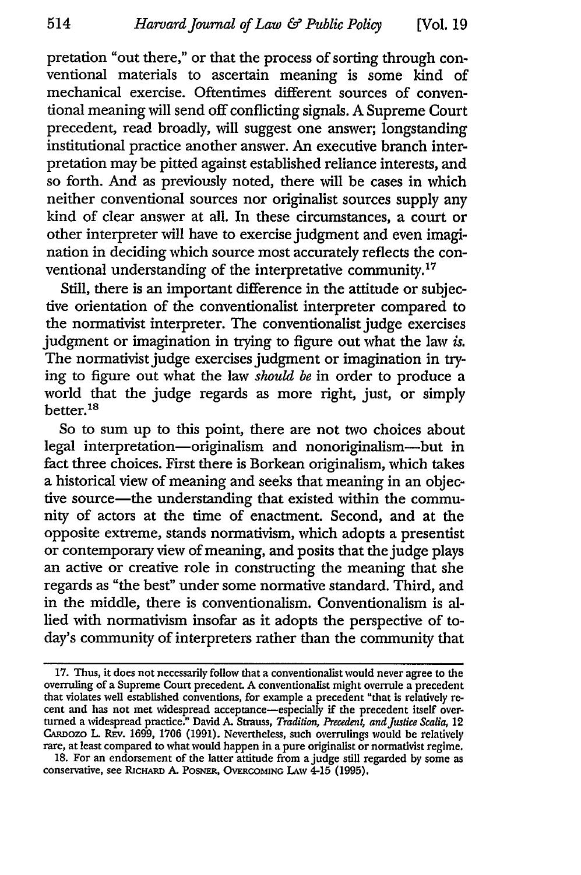pretation "out there," or that the process of sorting through conventional materials to ascertain meaning is some kind of mechanical exercise. Oftentimes different sources of conventional meaning will send off conflicting signals. A Supreme Court precedent, read broadly, will suggest one answer; longstanding institutional practice another answer. An executive branch interpretation may be pitted against established reliance interests, and so forth. And as previously noted, there will be cases in which neither conventional sources nor originalist sources supply any kind of clear answer at all. In these circumstances, a court or other interpreter will have to exercise judgment and even imagination in deciding which source most accurately reflects the conventional understanding of the interpretative community.<sup>17</sup>

Still, there is an important difference in the attitude or subjective orientation of the conventionalist interpreter compared to the normativist interpreter. The conventionalist judge exercises judgment or imagination in trying to figure out what the law *is.* The normativist judge exercises judgment or imagination in trying to figure out what the law *should be* in order to produce a world that the judge regards as more right, just, or simply better.<sup>18</sup>

So to sum up to this point, there are not two choices about legal interpretation-originalism and nonoriginalism-but in fact three choices. First there is Borkean originalism, which takes a historical view of meaning and seeks that meaning in an objective source-the understanding that existed within the community of actors at the time of enactment. Second, and at the opposite extreme, stands normativism, which adopts a presentist or contemporary view of meaning, and posits that the judge plays an active or creative role in constructing the meaning that she regards as "the best" under some normative standard. Third, and in the middle, there is conventionalism. Conventionalism is allied with normativism insofar as it adopts the perspective of today's community of interpreters rather than the community that

18. For an endorsement of the latter attitude from a judge still regarded **by** some as conservative, see RicHARD A. PosNE, OVERCOMING **LAW** 4-15 (1995).

<sup>17.</sup> Thus, it does not necessarily follow that a conventionalist would never agree to the overruling of a Supreme Court precedent. A conventionalist might overrule a precedent<br>that violates well established conventions, for example a precedent "that is relatively re-<br>cent and has not met widespread acceptance—e CARDOZO L. REV. 1699, 1706 (1991). Nevertheless, such overrulings would be relatively rare, at least compared to what would happen in a pure originalist or normativist regime.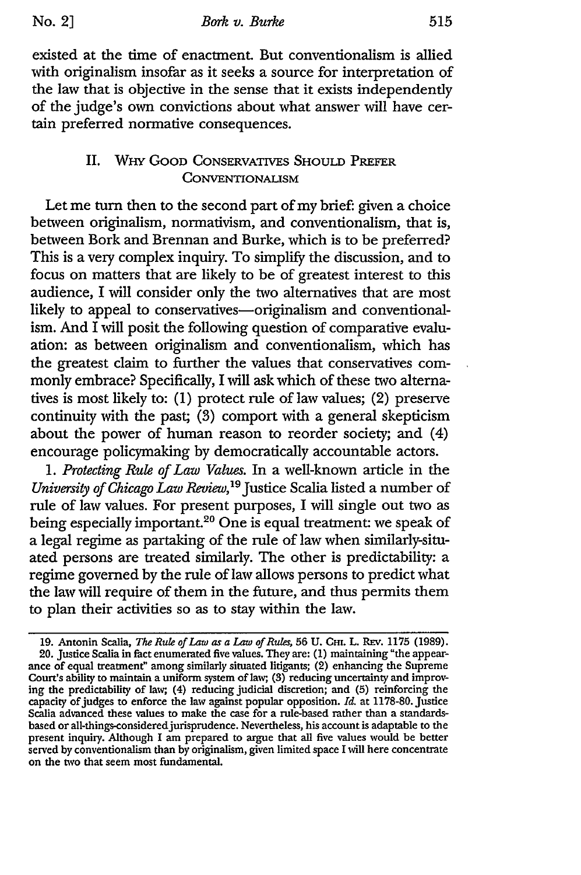existed at the time of enactment. But conventionalism is allied with originalism insofar as it seeks a source for interpretation of the law that is objective in the sense that it exists independently of the judge's own convictions about what answer will have certain preferred normative consequences.

### II. WHY GOOD CONSERVATIVES SHOULD PREFER **CONVENTIONALISM**

Let me turn then to the second part of my brief: given a choice between originalism, normativism, and conventionalism, that is, between Bork and Brennan and Burke, which is to be preferred? This is a very complex inquiry. To simplify the discussion, and to focus on matters that are likely to be of greatest interest to this audience, I will consider only the two alternatives that are most likely to appeal to conservatives-originalism and conventionalism. And I will posit the following question of comparative evaluation: as between originalism and conventionalism, which has the greatest claim to further the values that conservatives commonly embrace? Specifically, I will ask which of these two alternatives is most likely to: (1) protect rule of law values; (2) preserve continuity with the past; **(3)** comport with a general skepticism about the power of human reason to reorder society; and (4) encourage policymaking by democratically accountable actors.

*1. Protecting Rule of Law Values.* In a well-known article in the *University of Chicago Law Review*,<sup>19</sup> Justice Scalia listed a number of rule of law values. For present purposes, I will single out two as being especially important.<sup>20</sup> One is equal treatment: we speak of a legal regime as partaking of the rule of law when similarly-situated persons are treated similarly. The other is predictability: a regime governed by the rule of law allows persons to predict what the law will require of them in the future, and thus permits them to plan their activities so as to stay within the law.

<sup>19.</sup> Antonin Scalia, *The Rule of Law as a Law of Rules,* 56 U. **CH.** L. REv. 1175 (1989). 20. Justice Scalia in fact enumerated five values. They are: (1) maintaining "the appearance of equal treatment" among similarly situated litigants; (2) enhancing the Supreme Court's ability to maintain a uniform system of law, **(3)** reducing uncertainty and improving the predictability of law, (4) reducing judicial discretion; and (5) reinforcing the capacity of judges to enforce the law against popular opposition. *Id.* at 1178-80. Justice Scalia advanced these values to make the case for a rule-based rather than a standardsbased or all-things-consideredjurisprudence. Nevertheless, his account is adaptable to the present inquiry. Although I am prepared to argue that all five values would be better served by conventionalism than by originalism, given limited space I will here concentrate on the two that seem most fundamental.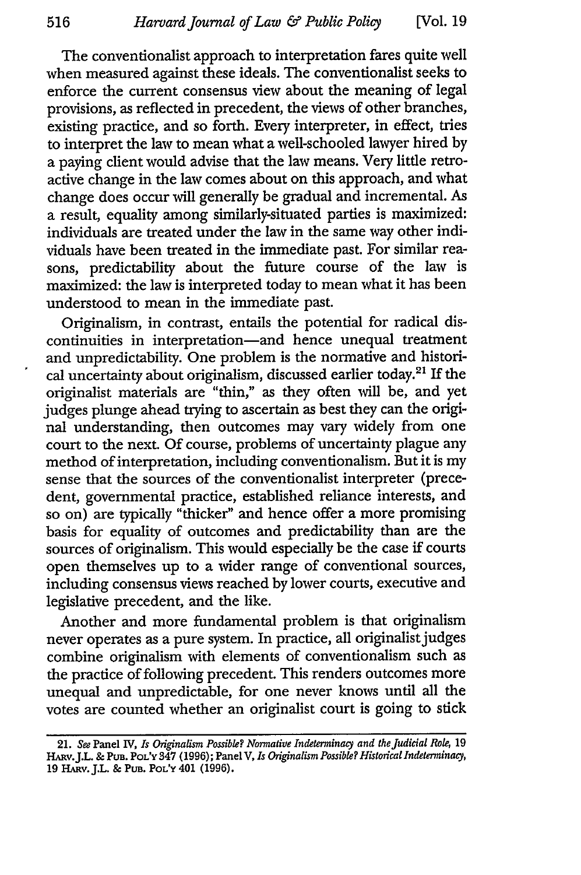The conventionalist approach to interpretation fares quite well when measured against these ideals. The conventionalist seeks to enforce the current consensus view about the meaning of legal provisions, as reflected in precedent, the views of other branches, existing practice, and so forth. Every interpreter, in effect, tries to interpret the law to mean what a well-schooled lawyer hired by a paying client would advise that the law means. Very little retroactive change in the law comes about on this approach, and what change does occur will generally be gradual and incremental. As a result, equality among similarly-situated parties is maximized: individuals are treated under the law in the same way other individuals have been treated in the immediate past. For similar reasons, predictability about the future course of the law is maximized: the law is interpreted today to mean what it has been understood to mean in the immediate past.

Originalism, in contrast, entails the potential for radical discontinuities in interpretation-and hence unequal treatment and unpredictability. One problem is the normative and historical uncertainty about originalism, discussed earlier today.<sup>21</sup> If the originalist materials are "thin," as they often will be, and yet judges plunge ahead trying to ascertain as best they can the original understanding, then outcomes may vary widely from one court to the next. Of course, problems of uncertainty plague any method of interpretation, including conventionalism. But it is my sense that the sources of the conventionalist interpreter (precedent, governmental practice, established reliance interests, and so on) are typically "thicker" and hence offer a more promising basis for equality of outcomes and predictability than are the sources of originalism. This would especially be the case if courts open themselves up to a wider range of conventional sources, including consensus views reached by lower courts, executive and legislative precedent, and the like.

Another and more fundamental problem is that originalism never operates as a pure system. In practice, all originalist judges combine originalism with elements of conventionalism such as the practice of following precedent. This renders outcomes more unequal and unpredictable, for one never knows until all the votes are counted whether an originalist court is going to stick

<sup>21.</sup> *See* Panel IV, *Is Ofiginalism Possible? Normative Indeterminacy and the Judicial Role,* 19 HARv.J.L. & **PUB. POL'Y** 347 (1996); Panel **V,** *Is Originalism Possible? Historical Indeterminacy,* 19 **HARv.J.L.** & PUB. **POL'Y** 401 **(1996).**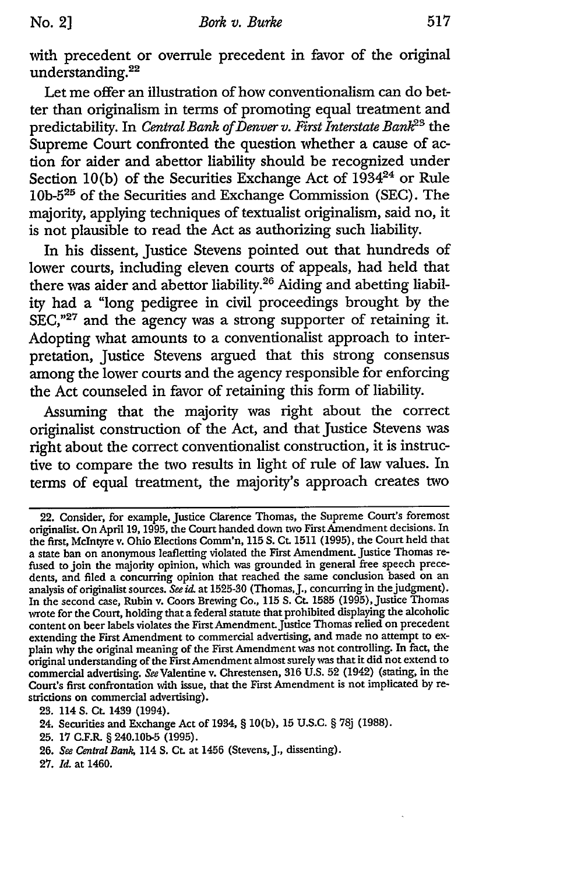with precedent or overrule precedent in favor of the original understanding. <sup>22</sup>

Let me offer an illustration of how conventionalism can do better than originalism in terms of promoting equal treatment and predictability. In *Central Bank of Denver v. First Interstate Bank*<sup>23</sup> the Supreme Court confronted the question whether a cause of action for aider and abettor liability should be recognized under Section 10(b) of the Securities Exchange Act of  $1934^{24}$  or Rule 10b-525 of the Securities and Exchange Commission (SEC). The majority, applying techniques of textualist originalism, said no, it is not plausible to read the Act as authorizing such liability.

In his dissent, Justice Stevens pointed out that hundreds of lower courts, including eleven courts of appeals, had held that there was aider and abettor liability.<sup>26</sup> Aiding and abetting liability had a "long pedigree in civil proceedings brought by the SEC,"<sup>27</sup> and the agency was a strong supporter of retaining it. Adopting what amounts to a conventionalist approach to interpretation, Justice Stevens argued that this strong consensus among the lower courts and the agency responsible for enforcing the Act counseled in favor of retaining this form of liability.

Assuming that the majority was right about the correct originalist construction of the Act, and that Justice Stevens was right about the correct conventionalist construction, it is instructive to compare the two results in light of rule of law values. In terms of equal treatment, the majority's approach creates two

27. *Id.* at 1460.

**No. 2]**

<sup>22.</sup> Consider, for example, Justice Clarence Thomas, the Supreme Court's foremost originalist. On April 19, 1995, the Court handed down two First Amendment decisions. In the first, McIntyre v. Ohio Elections Comm'n, 115 S. Ct. 1511 (1995), the Court held that a state ban on anonymous leafletting violated the First Amendment. Justice Thomas refused to join the majority opinion, which was grounded in general free speech precedents, and filed a concurring opinion that reached the same conclusion based on an analysis of originalist sources. *See id*. at 1525-30 (Thomas, J., concurring in the judgment). In the second case, Rubin v. Coors Brewing Co., 115 S. Ct. 1585 (1995), Justice Thomas wrote for the Court, holding that a federal statute that prohibited displaying the alcoholic content on beer labels violates the First Amendment.Justice Thomas relied on precedent extending the First Amendment to commercial advertising, and made no attempt to explain why the original meaning of the First Amendment was not controlling. In fact, the original understanding of the First Amendment almost surely was that it did not extend to commercial advertising. *See* Valentine v. Chrestensen, 316 U.S. 52 (1942) (stating, in the Court's first confrontation with issue, that the First Amendment is not implicated by restrictions on commercial advertising).

<sup>23. 114</sup> **S.** Ct. 1439 (1994).

<sup>24.</sup> Securities and Exchange Act of 1934, § 10(b), 15 U.S.C. § 78j (1988).

**<sup>25.</sup>** 17 **C.F.R.** § 240.10b-5 (1995).

**<sup>26.</sup>** *See Central Bank,* 114 S. Ct. at 1456 (Stevens, **J.,** dissenting).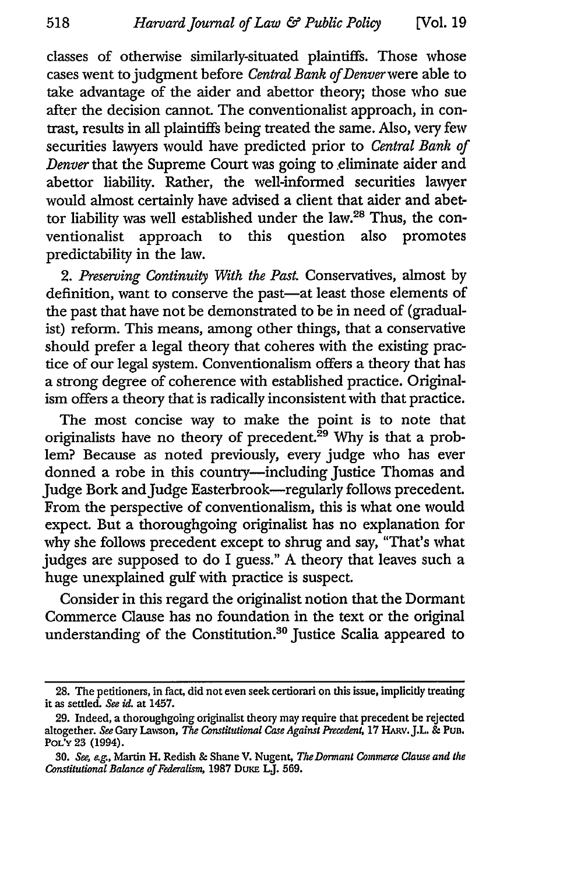classes of otherwise similarly-situated plaintiffs. Those whose cases went to judgment before *Central Bank of Denver* were able to take advantage of the aider and abettor theory; those who sue after the decision cannot. The conventionalist approach, in contrast, results in all plaintiffs being treated the same. Also, very few securities lawyers would have predicted prior to *Central Bank of Denver* that the Supreme Court was going to .eliminate aider and abettor liability. Rather, the well-informed securities lawyer would almost certainly have advised a client that aider and abettor liability was well established under the law.<sup>28</sup> Thus, the conventionalist approach to this question also promotes ventionalist approach to this question also promotes predictability in the law.

*2. Preserving Continuity With the Past.* Conservatives, almost by definition, want to conserve the past-at least those elements of the past that have not be demonstrated to be in need of (gradualist) reform. This means, among other things, that a conservative should prefer a legal theory that coheres with the existing practice of our legal system. Conventionalism offers a theory that has a strong degree of coherence with established practice. Originalism offers a theory that is radically inconsistent with that practice.

The most concise way to make the point is to note that originalists have no theory of precedent.<sup>29</sup> Why is that a problem? Because as noted previously, every judge who has ever donned a robe in this country-including Justice Thomas and Judge Bork and Judge Easterbrook-regularly follows precedent. From the perspective of conventionalism, this is what one would expect. But a thoroughgoing originalist has no explanation for why she follows precedent except to shrug and say, "That's what judges are supposed to do I guess." A theory that leaves such a huge unexplained gulf with practice is suspect.

Consider in this regard the originalist notion that the Dormant Commerce Clause has no foundation in the text or the original understanding of the Constitution.<sup>30</sup> Justice Scalia appeared to

**<sup>28.</sup>** The petitioners, in fact, did not even seek certiorari on this issue, implicitly treating it as settled. *See* id. at 1457.

**<sup>29.</sup>** Indeed, a thoroughgoing originalist theory may require that precedent be rejected altogether. *See* Gary Lawson, *The Constitutional Case Against Precedent,* **17** HARv.J.L. **&** Pun. POL'Y **23** (1994).

<sup>30.</sup> *See, e.g.,* Martin H. Redish **&** Shane V. Nugent, *The Dormant Commerce Clause and the Constitutional Balance of Federalism,* **1987** DuxE LJ. 569.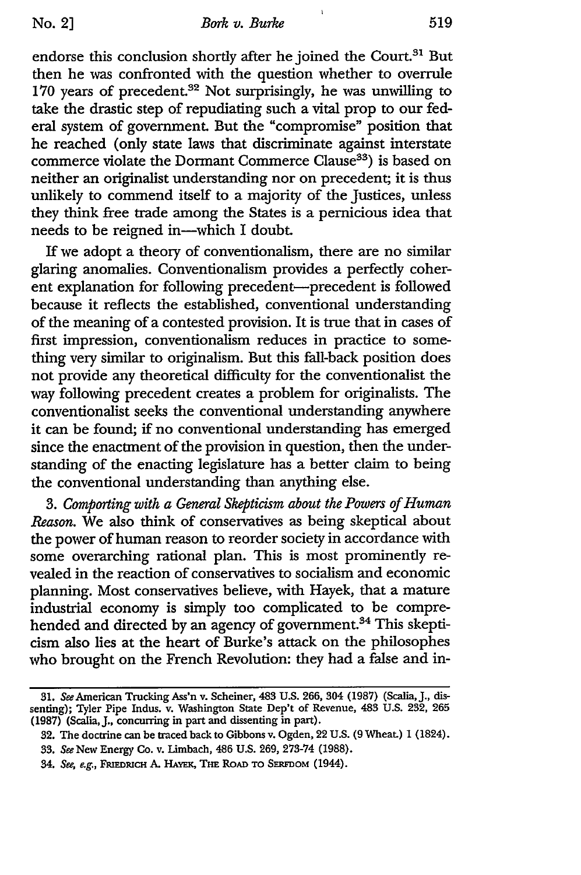$\mathbf{1}$ 

endorse this conclusion shortly after he joined the Court.<sup>31</sup> But then he was confronted with the question whether to overrule 170 years of precedent.<sup>32</sup> Not surprisingly, he was unwilling to take the drastic step of repudiating such a vital prop to our federal system of government. But the "compromise" position that he reached (only state laws that discriminate against interstate commerce violate the Dormant Commerce Clause<sup>33</sup>) is based on neither an originalist understanding nor on precedent; it is thus unlikely to commend itself to a majority of the Justices, unless they think free trade among the States is a pernicious idea that needs to be reigned in-which I doubt.

If we adopt a theory of conventionalism, there are no similar glaring anomalies. Conventionalism provides a perfectly coherent explanation for following precedent-precedent is followed because it reflects the established, conventional understanding of the meaning of a contested provision. It is true that in cases of first impression, conventionalism reduces in practice to something very similar to originalism. But this fall-back position does not provide any theoretical difficulty for the conventionalist the way following precedent creates a problem for originalists. The conventionalist seeks the conventional understanding anywhere it can be found; if no conventional understanding has emerged since the enactment of the provision in question, then the understanding of the enacting legislature has a better claim to being the conventional understanding than anything else.

*3. Comporting with a General Skepticism about the Powers of Human Reason.* We also think of conservatives as being skeptical about the power of human reason to reorder society in accordance with some overarching rational plan. This is most prominently revealed in the reaction of conservatives to socialism and economic planning. Most conservatives believe, with Hayek, that a mature industrial economy is simply too complicated to be comprehended and directed by an agency of government.<sup>34</sup> This skepticism also lies at the heart of Burke's attack on the philosophes who brought on the French Revolution: they had a false and in-

**<sup>31.</sup>** See American Trucking Ass'n v. Scheiner, 483 **U.S.** 266, 304 (1987) (Scalia, J., dissenting); Tyler Pipe Indus. v. Washington State Dep't of Revenue, 483 U.S. 232, 265 (1987) (Scalia, J., concurring in part and dissenting in part).

<sup>32.</sup> The doctrine can be traced back to Gibbons v. Ogden, 22 U.S. (9 Wheat.) 1 (1824).

**<sup>33.</sup>** See New Energy Co. v. Limbach, 486 U.S. 269, 273-74 (1988).

<sup>34.</sup> See, e.g., **FRmFDRiCH** A. HAwx, **THE** ROAD **TO SERFDOM** (1944).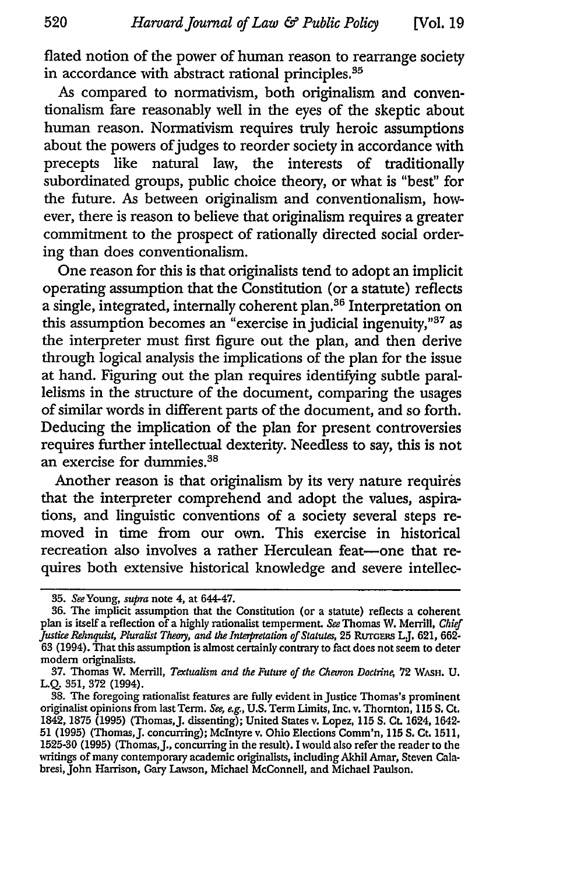flated notion of the power of human reason to rearrange society in accordance with abstract rational principles.<sup>35</sup>

As compared to normativism, both originalism and conventionalism fare reasonably well in the eyes of the skeptic about human reason. Normativism requires truly heroic assumptions about the powers of judges to reorder society in accordance with precepts like natural law, the interests of traditionally subordinated groups, public choice theory, or what is "best" for the future. As between originalism and conventionalism, however, there is reason to believe that originalism requires a greater commitment to the prospect of rationally directed social ordering than does conventionalism.

One reason for this is that originalists tend to adopt an implicit operating assumption that the Constitution (or a statute) reflects a single, integrated, internally coherent plan.<sup>36</sup> Interpretation on this assumption becomes an "exercise in judicial ingenuity," $37$  as the interpreter must first figure out the plan, and then derive through logical analysis the implications of the plan for the issue at hand. Figuring out the plan requires identifying subtle parallelisms in the structure of the document, comparing the usages of similar words in different parts of the document, and so forth. Deducing the implication of the plan for present controversies requires further intellectual dexterity. Needless to say, this is not an exercise for dummies.38

Another reason is that originalism by its very nature requires that the interpreter comprehend and adopt the values, aspirations, and linguistic conventions of a society several steps removed in time from our own. This exercise in historical recreation also involves a rather Herculean feat-one that requires both extensive historical knowledge and severe intellec-

**<sup>35.</sup>** SeeYoung, *supra* note 4, at 644-47.

**<sup>36.</sup>** The implicit assumption that the Constitution (or a statute) reflects a coherent plan is itself a reflection of a highly rationalist temperment. *See* Thomas W. Merrill, *Chief Justice Rehnquist, Pluralist Theoy, and the Interpretation of Statutes,* 25 RuTcERs LJ. 621, 662- 63 (1994). That this assumption is almost certainly contrary to fact does not seem to deter modem originalists.

<sup>37.</sup> Thomas W. Merrill, *Textualism and the Future of the Chevron Doctrine*, 72 WASH. U. L.Q. 351, 372 (1994).

<sup>38.</sup> The foregoing rationalist features are fully evident inJustice Thomas's prominent originalist opinions from last Term. *See, e.g.,* U.S. Term Limits, Inc. v. Thornton, **115 S.** Ct. 1842, 1875 (1995) (Thomas,J. dissenting); United States v. Lopez, 115 **S.** Ct. 1624, 1642- 51 (1995) (Thomas,J. concurring); McIntyre v. Ohio Elections Comm'n, **115 S.** Ct. 1511, 1525-30 (1995) (Thomas,J., concurring in the result). I would also refer the reader to the writings of many contemporary academic originalists, including Akhil Amar, Steven Calabresi, John Harrison, Gary Lawson, Michael McConnell, and Michael Paulson.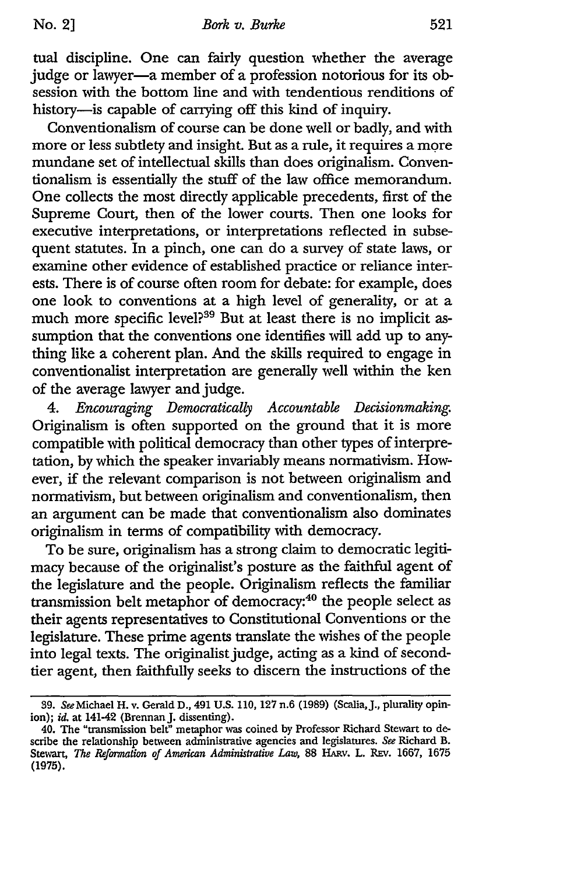tual discipline. One can fairly question whether the average judge or lawyer-a member of a profession notorious for its obsession with the bottom line and with tendentious renditions of history-is capable of carrying off this kind of inquiry.

Conventionalism of course can be done well or badly, and with more or less subtlety and insight. But as a rule, it requires a more mundane set of intellectual skills than does originalism. Conventionalism is essentially the stuff of the law office memorandum. One collects the most directly applicable precedents, first of the Supreme Court, then of the lower courts. Then one looks for executive interpretations, or interpretations reflected in subsequent statutes. In a pinch, one can do a survey of state laws, or examine other evidence of established practice or reliance interests. There is of course often room for debate: for example, does one look to conventions at a high level of generality, or at a much more specific level?<sup>39</sup> But at least there is no implicit assumption that the conventions one identifies will add up to anything like a coherent plan. And the skills required to engage in conventionalist interpretation are generally well within the ken of the average lawyer and judge.

*4. Encouraging Democratically Accountable Decisionmaking.* Originalism is often supported on the ground that it is more compatible with political democracy than other types of interpretation, by which the speaker invariably means normativism. However, **if** the relevant comparison is not between originalism and normativism, but between originalism and conventionalism, then an argument can be made that conventionalism also dominates originalism in terms of compatibility with democracy.

To be sure, originalism has a strong claim to democratic legitimacy because of the originalist's posture as the faithful agent of the legislature and the people. Originalism reflects the familiar transmission belt metaphor of democracy:40 the people select as their agents representatives to Constitutional Conventions or the legislature. These prime agents translate the wishes of the people into legal texts. The originalist judge, acting as a kind of secondtier agent, then faithfully seeks to discern the instructions of the

<sup>39.</sup> See Michael H. v. Gerald D., 491 U.S. 110, 127 n.6 (1989) (Scalia, J., plurality opinion); *id.* at 141-42 (Brennan J. dissenting).

<sup>40.</sup> The "transmission belt" metaphor was coined **by** Professor Richard Stewart to describe the relationship between administrative agencies and legislatures. *See* Richard B. Stewart, *The Reformation of American Administrative Law*, 88 HARV. L. REV. 1667, 1675 (1975).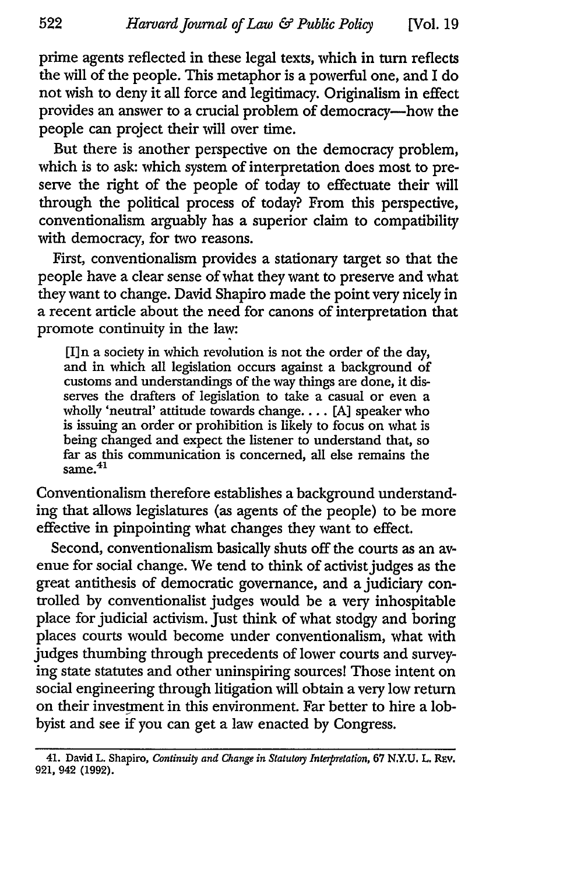prime agents reflected in these legal texts, which in turn reflects the will of the people. This metaphor is a powerful one, and I do not wish to deny it all force and legitimacy. Originalism in effect provides an answer to a crucial problem of democracy-how the people can project their will over time.

But there is another perspective on the democracy problem, which is to ask: which system of interpretation does most to preserve the right of the people of today to effectuate their will through the political process of today? From this perspective, conventionalism arguably has a superior claim to compatibility with democracy, for two reasons.

First, conventionalism provides a stationary target so that the people have a clear sense of what they want to preserve and what they want to change. David Shapiro made the point very nicely in a recent article about the need for canons of interpretation that promote continuity in the law:

[I]n a society in which revolution is not the order of the day, and in which all legislation occurs against a background of customs and understandings of the way things are done, it disserves the drafters of legislation to take a casual or even a wholly 'neutral' attitude towards change.... [A] speaker who is issuing an order or prohibition is likely to focus on what is being changed and expect the listener to understand that, so far as this communication is concerned, all else remains the aa as u<br>same.<sup>41</sup>

Conventionalism therefore establishes a background understanding that allows legislatures (as agents of the people) to be more effective in pinpointing what changes they want to effect.

Second, conventionalism basically shuts off the courts as an avenue for social change. We tend to think of activist judges as the great antithesis of democratic governance, and a judiciary controlled by conventionalist judges would be a very inhospitable place for judicial activism. Just think of what stodgy and boring places courts would become under conventionalism, what with judges thumbing through precedents of lower courts and surveying state statutes and other uninspiring sources! Those intent on social engineering through litigation will obtain a very low return on their investment in this environment. Far better to hire a lobbyist and see if you can get a law enacted by Congress.

<sup>41.</sup> David L. Shapiro, *Continuity and Change in Statutoty Interpretation, 67* **N.Y.U.** L. REv. 921, 942 (1992).